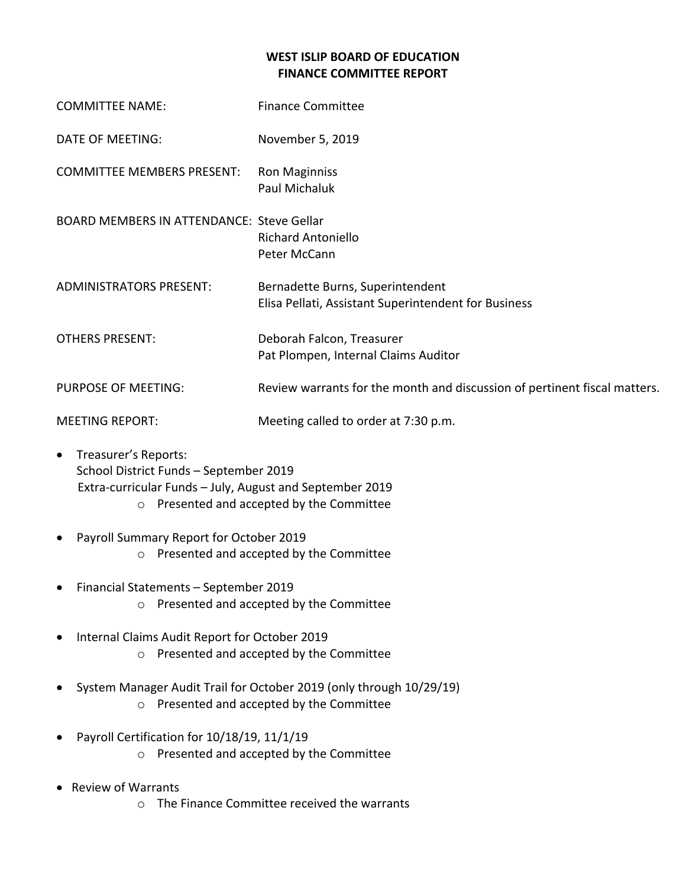## **WEST ISLIP BOARD OF EDUCATION FINANCE COMMITTEE REPORT**

| <b>COMMITTEE NAME:</b>                           | <b>Finance Committee</b>                                                                 |
|--------------------------------------------------|------------------------------------------------------------------------------------------|
| <b>DATE OF MEETING:</b>                          | November 5, 2019                                                                         |
| <b>COMMITTEE MEMBERS PRESENT:</b>                | <b>Ron Maginniss</b><br>Paul Michaluk                                                    |
| <b>BOARD MEMBERS IN ATTENDANCE: Steve Gellar</b> | <b>Richard Antoniello</b><br>Peter McCann                                                |
| <b>ADMINISTRATORS PRESENT:</b>                   | Bernadette Burns, Superintendent<br>Elisa Pellati, Assistant Superintendent for Business |
| <b>OTHERS PRESENT:</b>                           | Deborah Falcon, Treasurer<br>Pat Plompen, Internal Claims Auditor                        |
| <b>PURPOSE OF MEETING:</b>                       | Review warrants for the month and discussion of pertinent fiscal matters.                |
| <b>MEETING REPORT:</b>                           | Meeting called to order at 7:30 p.m.                                                     |

- Treasurer's Reports: School District Funds – September 2019 Extra-curricular Funds – July, August and September 2019 o Presented and accepted by the Committee
- Payroll Summary Report for October 2019 o Presented and accepted by the Committee
- Financial Statements September 2019 o Presented and accepted by the Committee
- Internal Claims Audit Report for October 2019 o Presented and accepted by the Committee
- System Manager Audit Trail for October 2019 (only through 10/29/19) o Presented and accepted by the Committee
- Payroll Certification for 10/18/19, 11/1/19 o Presented and accepted by the Committee
- Review of Warrants
	- o The Finance Committee received the warrants